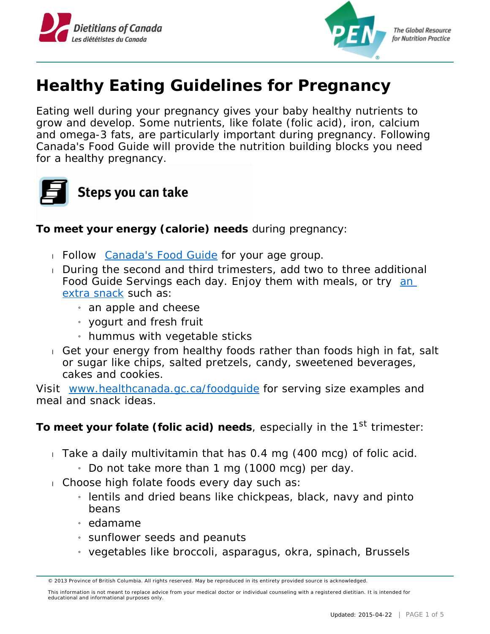



## **Healthy Eating Guidelines for Pregnancy**

Eating well during your pregnancy gives your baby healthy nutrients to grow and develop. Some nutrients, like folate (folic acid), iron, calcium and omega-3 fats, are particularly important during pregnancy. Following Canada's Food Guide will provide the nutrition building blocks you need for a healthy pregnancy.



**To meet your energy (calorie) needs** during pregnancy:

- Follow **Canada's Food Guide** for your age group.
- During the second and third trimesters, add two to three additional Food Guide Servings each day. Enjoy them with meals, or try an [extra snack](http://www.hc-sc.gc.ca/fn-an/food-guide-aliment/choose-choix/advice-conseil/women-femmes-eng.php#snack) such as:
	- $_1$  an apple and cheese
	- $_{i}$  yogurt and fresh fruit
	- » hummus with vegetable sticks
- Get your energy from healthy foods rather than foods high in fat, salt or sugar like chips, salted pretzels, candy, sweetened beverages, cakes and cookies.

Visit www.healthcanada.gc.ca/foodquide for serving size examples and meal and snack ideas.

To meet your folate (folic acid) needs, especially in the 1<sup>st</sup> trimester:

- Take a daily multivitamin that has 0.4 mg (400 mcg) of folic acid.
	- $\frac{1}{1}$  Do not take more than 1 mg (1000 mcg) per day.
- Choose high folate foods every day such as:
	- » lentils and dried beans like chickpeas, black, navy and pinto beans
	- » edamame
	- » sunflower seeds and peanuts
	- » vegetables like broccoli, asparagus, okra, spinach, Brussels

<sup>© 2013</sup> Province of British Columbia. All rights reserved. May be reproduced in its entirety provided source is acknowledged.

This information is not meant to replace advice from your medical doctor or individual counseling with a registered dietitian. It is intended for educational and informational purposes only.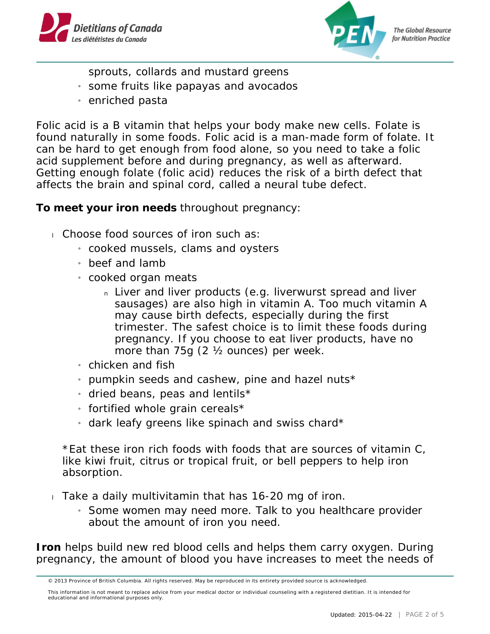



**The Global Resource** for Nutrition Practice

sprouts, collards and mustard greens

- » some fruits like papayas and avocados
- » enriched pasta

Folic acid is a B vitamin that helps your body make new cells. Folate is found naturally in some foods. Folic acid is a man-made form of folate. It can be hard to get enough from food alone, so you need to take a folic acid supplement before and during pregnancy, as well as afterward. Getting enough folate (folic acid) reduces the risk of a birth defect that affects the brain and spinal cord, called a neural tube defect.

**To meet your iron needs** throughout pregnancy:

- Choose food sources of iron such as:
	- » cooked mussels, clams and oysters
	- » beef and lamb
	- » cooked organ meats
		- n Liver and liver products (e.g. liverwurst spread and liver sausages) are also high in vitamin A. Too much vitamin A may cause birth defects, especially during the first trimester. The safest choice is to limit these foods during pregnancy. If you choose to eat liver products, have no more than 75g (2 ½ ounces) per week.
	- » chicken and fish
	- $_{1}$  pumpkin seeds and cashew, pine and hazel nuts\*
	- » dried beans, peas and lentils\*
	- $\frac{1}{2}$  fortified whole grain cereals\*
	- $_1$  dark leafy greens like spinach and swiss chard\*

\*Eat these iron rich foods with foods that are sources of vitamin C, like kiwi fruit, citrus or tropical fruit, or bell peppers to help iron absorption.

- $\overline{1}$  Take a daily multivitamin that has 16-20 mg of iron.
	- » Some women may need more. Talk to you healthcare provider about the amount of iron you need.

**Iron** helps build new red blood cells and helps them carry oxygen. During pregnancy, the amount of blood you have increases to meet the needs of

<sup>© 2013</sup> Province of British Columbia. All rights reserved. May be reproduced in its entirety provided source is acknowledged.

This information is not meant to replace advice from your medical doctor or individual counseling with a registered dietitian. It is intended for educational and informational purposes only.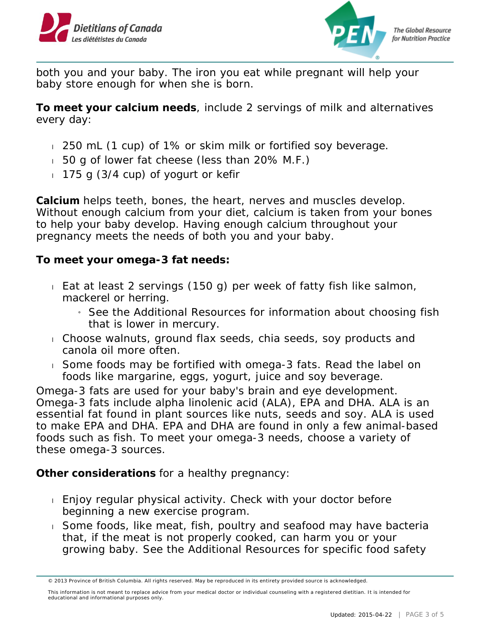



both you and your baby. The iron you eat while pregnant will help your baby store enough for when she is born.

**To meet your calcium needs**, include 2 servings of milk and alternatives every day:

- 250 mL (1 cup) of 1% or skim milk or fortified soy beverage.
- 50 g of lower fat cheese (less than 20% M.F.)
- $175$  g (3/4 cup) of yogurt or kefir

**Calcium** helps teeth, bones, the heart, nerves and muscles develop. Without enough calcium from your diet, calcium is taken from your bones to help your baby develop. Having enough calcium throughout your pregnancy meets the needs of both you and your baby.

**To meet your omega-3 fat needs:**

- Eat at least 2 servings (150 g) per week of fatty fish like salmon, mackerel or herring.
	- » See the Additional Resources for information about choosing fish that is lower in mercury.
- Choose walnuts, ground flax seeds, chia seeds, soy products and canola oil more often.
- Some foods may be fortified with omega-3 fats. Read the label on foods like margarine, eggs, yogurt, juice and soy beverage.

Omega-3 fats are used for your baby's brain and eye development. Omega-3 fats include alpha linolenic acid (ALA), EPA and DHA. ALA is an essential fat found in plant sources like nuts, seeds and soy. ALA is used to make EPA and DHA. EPA and DHA are found in only a few animal-based foods such as fish. To meet your omega-3 needs, choose a variety of these omega-3 sources.

**Other considerations** for a healthy pregnancy:

- Enjoy regular physical activity. Check with your doctor before beginning a new exercise program.
- Some foods, like meat, fish, poultry and seafood may have bacteria that, if the meat is not properly cooked, can harm you or your growing baby. See the Additional Resources for specific food safety

<sup>© 2013</sup> Province of British Columbia. All rights reserved. May be reproduced in its entirety provided source is acknowledged.

This information is not meant to replace advice from your medical doctor or individual counseling with a registered dietitian. It is intended for educational and informational purposes only.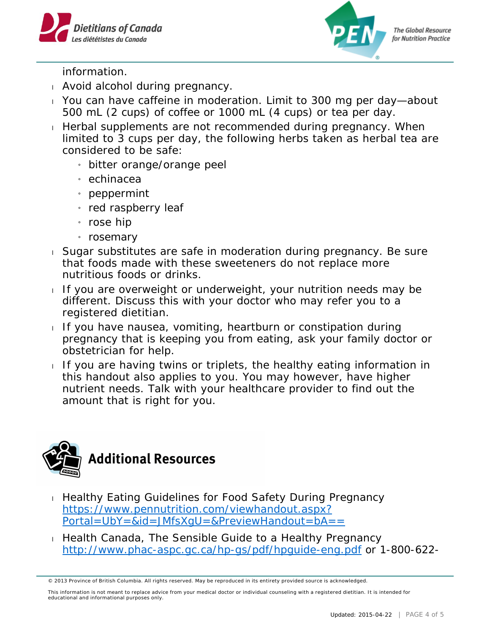



**The Global Resource** for Nutrition Practice

information.

- Avoid alcohol during pregnancy.
- You can have caffeine in moderation. Limit to 300 mg per day—about 500 mL (2 cups) of coffee or 1000 mL (4 cups) or tea per day.
- $\Box$  Herbal supplements are not recommended during pregnancy. When limited to 3 cups per day, the following herbs taken as herbal tea are considered to be safe:
	- » bitter orange/orange peel
	- » echinacea
	- » peppermint
	- $_{i}$  red raspberry leaf
	- » rose hip
	- » rosemary
- Sugar substitutes are safe in moderation during pregnancy. Be sure that foods made with these sweeteners do not replace more nutritious foods or drinks.
- If you are overweight or underweight, your nutrition needs may be different. Discuss this with your doctor who may refer you to a registered dietitian.
- $I$  If you have nausea, vomiting, heartburn or constipation during pregnancy that is keeping you from eating, ask your family doctor or obstetrician for help.
- If you are having twins or triplets, the healthy eating information in this handout also applies to you. You may however, have higher nutrient needs. Talk with your healthcare provider to find out the amount that is right for you.



- **Healthy Eating Guidelines for Food Safety During Pregnancy** [https://www.pennutrition.com/viewhandout.aspx?](https://www.pennutrition.com/viewhandout.aspx?Portal=UbY=&id=JMfsXgU=&PreviewHandout=bA==) [Portal=UbY=&id=JMfsXgU=&PreviewHandout=bA==](https://www.pennutrition.com/viewhandout.aspx?Portal=UbY=&id=JMfsXgU=&PreviewHandout=bA==)
- Health Canada, The Sensible Guide to a Healthy Pregnancy <http://www.phac-aspc.gc.ca/hp-gs/pdf/hpguide-eng.pdf> or 1-800-622-

<sup>© 2013</sup> Province of British Columbia. All rights reserved. May be reproduced in its entirety provided source is acknowledged.

This information is not meant to replace advice from your medical doctor or individual counseling with a registered dietitian. It is intended for educational and informational purposes only.